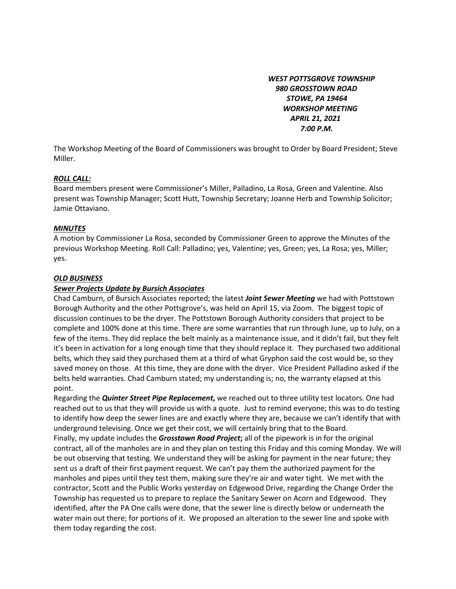*WEST POTTSGROVE TOWNSHIP 980 GROSSTOWN ROAD STOWE, PA 19464 WORKSHOP MEETING APRIL 21, 2021 7:00 P.M.* 

The Workshop Meeting of the Board of Commissioners was brought to Order by Board President; Steve Miller.

#### *ROLL CALL:*

Board members present were Commissioner's Miller, Palladino, La Rosa, Green and Valentine. Also present was Township Manager; Scott Hutt, Township Secretary; Joanne Herb and Township Solicitor; Jamie Ottaviano.

## *MINUTES*

A motion by Commissioner La Rosa, seconded by Commissioner Green to approve the Minutes of the previous Workshop Meeting. Roll Call: Palladino; yes, Valentine; yes, Green; yes, La Rosa; yes, Miller; yes.

## *OLD BUSINESS*

## *Sewer Projects Update by Bursich Associates*

Chad Camburn, of Bursich Associates reported; the latest *Joint Sewer Meeting* we had with Pottstown Borough Authority and the other Pottsgrove's, was held on April 15, via Zoom. The biggest topic of discussion continues to be the dryer. The Pottstown Borough Authority considers that project to be complete and 100% done at this time. There are some warranties that run through June, up to July, on a few of the items. They did replace the belt mainly as a maintenance issue, and it didn't fail, but they felt it's been in activation for a long enough time that they should replace it. They purchased two additional belts, which they said they purchased them at a third of what Gryphon said the cost would be, so they saved money on those. At this time, they are done with the dryer. Vice President Palladino asked if the belts held warranties. Chad Camburn stated; my understanding is; no, the warranty elapsed at this point.

Regarding the *Quinter Street Pipe Replacement***,** we reached out to three utility test locators. One had reached out to us that they will provide us with a quote. Just to remind everyone; this was to do testing to identify how deep the sewer lines are and exactly where they are, because we can't identify that with underground televising. Once we get their cost, we will certainly bring that to the Board. Finally, my update includes the *Grosstown Road Project***;** all of the pipework is in for the original contract, all of the manholes are in and they plan on testing this Friday and this coming Monday. We will be out observing that testing. We understand they will be asking for payment in the near future; they sent us a draft of their first payment request. We can't pay them the authorized payment for the manholes and pipes until they test them, making sure they're air and water tight. We met with the contractor, Scott and the Public Works yesterday on Edgewood Drive, regarding the Change Order the Township has requested us to prepare to replace the Sanitary Sewer on Acorn and Edgewood. They identified, after the PA One calls were done, that the sewer line is directly below or underneath the water main out there; for portions of it. We proposed an alteration to the sewer line and spoke with them today regarding the cost.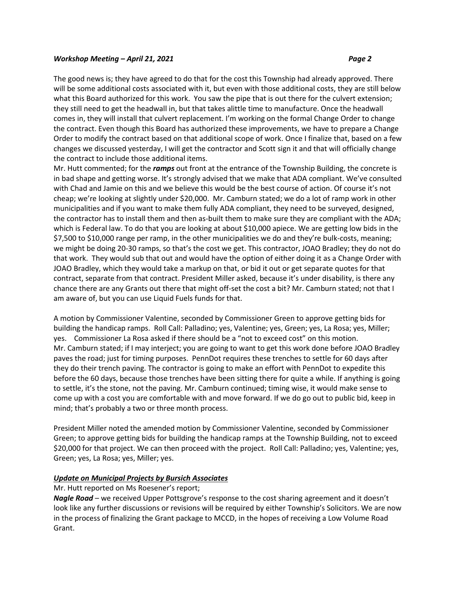The good news is; they have agreed to do that for the cost this Township had already approved. There will be some additional costs associated with it, but even with those additional costs, they are still below what this Board authorized for this work. You saw the pipe that is out there for the culvert extension; they still need to get the headwall in, but that takes alittle time to manufacture. Once the headwall comes in, they will install that culvert replacement. I'm working on the formal Change Order to change the contract. Even though this Board has authorized these improvements, we have to prepare a Change Order to modify the contract based on that additional scope of work. Once I finalize that, based on a few changes we discussed yesterday, I will get the contractor and Scott sign it and that will officially change the contract to include those additional items.

Mr. Hutt commented; for the *ramps* out front at the entrance of the Township Building, the concrete is in bad shape and getting worse. It's strongly advised that we make that ADA compliant. We've consulted with Chad and Jamie on this and we believe this would be the best course of action. Of course it's not cheap; we're looking at slightly under \$20,000. Mr. Camburn stated; we do a lot of ramp work in other municipalities and if you want to make them fully ADA compliant, they need to be surveyed, designed, the contractor has to install them and then as-built them to make sure they are compliant with the ADA; which is Federal law. To do that you are looking at about \$10,000 apiece. We are getting low bids in the \$7,500 to \$10,000 range per ramp, in the other municipalities we do and they're bulk-costs, meaning; we might be doing 20-30 ramps, so that's the cost we get. This contractor, JOAO Bradley; they do not do that work. They would sub that out and would have the option of either doing it as a Change Order with JOAO Bradley, which they would take a markup on that, or bid it out or get separate quotes for that contract, separate from that contract. President Miller asked, because it's under disability, is there any chance there are any Grants out there that might off-set the cost a bit? Mr. Camburn stated; not that I am aware of, but you can use Liquid Fuels funds for that.

A motion by Commissioner Valentine, seconded by Commissioner Green to approve getting bids for building the handicap ramps. Roll Call: Palladino; yes, Valentine; yes, Green; yes, La Rosa; yes, Miller; yes. Commissioner La Rosa asked if there should be a "not to exceed cost" on this motion. Mr. Camburn stated; if I may interject; you are going to want to get this work done before JOAO Bradley paves the road; just for timing purposes. PennDot requires these trenches to settle for 60 days after they do their trench paving. The contractor is going to make an effort with PennDot to expedite this before the 60 days, because those trenches have been sitting there for quite a while. If anything is going to settle, it's the stone, not the paving. Mr. Camburn continued; timing wise, it would make sense to come up with a cost you are comfortable with and move forward. If we do go out to public bid, keep in mind; that's probably a two or three month process.

President Miller noted the amended motion by Commissioner Valentine, seconded by Commissioner Green; to approve getting bids for building the handicap ramps at the Township Building, not to exceed \$20,000 for that project. We can then proceed with the project. Roll Call: Palladino; yes, Valentine; yes, Green; yes, La Rosa; yes, Miller; yes.

# *Update on Municipal Projects by Bursich Associates*

# Mr. Hutt reported on Ms Roesener's report;

*Nagle Road* – we received Upper Pottsgrove's response to the cost sharing agreement and it doesn't look like any further discussions or revisions will be required by either Township's Solicitors. We are now in the process of finalizing the Grant package to MCCD, in the hopes of receiving a Low Volume Road Grant.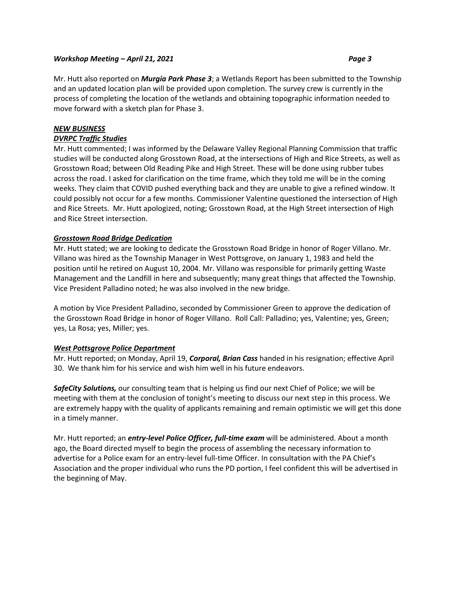Mr. Hutt also reported on *Murgia Park Phase 3*; a Wetlands Report has been submitted to the Township and an updated location plan will be provided upon completion. The survey crew is currently in the process of completing the location of the wetlands and obtaining topographic information needed to move forward with a sketch plan for Phase 3.

# *NEW BUSINESS*

# *DVRPC Traffic Studies*

Mr. Hutt commented; I was informed by the Delaware Valley Regional Planning Commission that traffic studies will be conducted along Grosstown Road, at the intersections of High and Rice Streets, as well as Grosstown Road; between Old Reading Pike and High Street. These will be done using rubber tubes across the road. I asked for clarification on the time frame, which they told me will be in the coming weeks. They claim that COVID pushed everything back and they are unable to give a refined window. It could possibly not occur for a few months. Commissioner Valentine questioned the intersection of High and Rice Streets. Mr. Hutt apologized, noting; Grosstown Road, at the High Street intersection of High and Rice Street intersection.

# *Grosstown Road Bridge Dedication*

Mr. Hutt stated; we are looking to dedicate the Grosstown Road Bridge in honor of Roger Villano. Mr. Villano was hired as the Township Manager in West Pottsgrove, on January 1, 1983 and held the position until he retired on August 10, 2004. Mr. Villano was responsible for primarily getting Waste Management and the Landfill in here and subsequently; many great things that affected the Township. Vice President Palladino noted; he was also involved in the new bridge.

A motion by Vice President Palladino, seconded by Commissioner Green to approve the dedication of the Grosstown Road Bridge in honor of Roger Villano. Roll Call: Palladino; yes, Valentine; yes, Green; yes, La Rosa; yes, Miller; yes.

# *West Pottsgrove Police Department*

Mr. Hutt reported; on Monday, April 19, *Corporal, Brian Cass* handed in his resignation; effective April 30. We thank him for his service and wish him well in his future endeavors.

*SafeCity Solutions,* our consulting team that is helping us find our next Chief of Police; we will be meeting with them at the conclusion of tonight's meeting to discuss our next step in this process. We are extremely happy with the quality of applicants remaining and remain optimistic we will get this done in a timely manner.

Mr. Hutt reported; an *entry-level Police Officer, full-time exam* will be administered. About a month ago, the Board directed myself to begin the process of assembling the necessary information to advertise for a Police exam for an entry-level full-time Officer. In consultation with the PA Chief's Association and the proper individual who runs the PD portion, I feel confident this will be advertised in the beginning of May.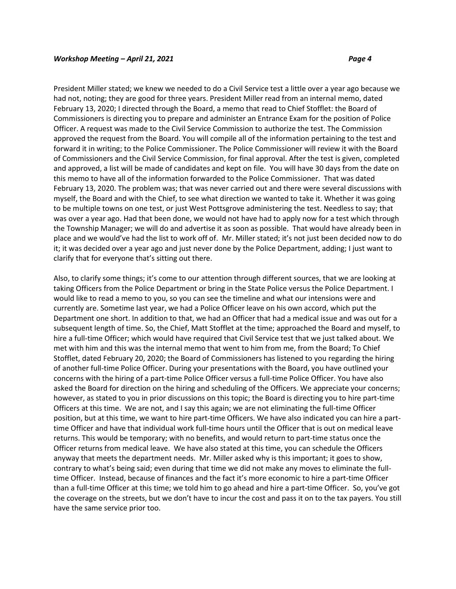President Miller stated; we knew we needed to do a Civil Service test a little over a year ago because we had not, noting; they are good for three years. President Miller read from an internal memo, dated February 13, 2020; I directed through the Board, a memo that read to Chief Stofflet: the Board of Commissioners is directing you to prepare and administer an Entrance Exam for the position of Police Officer. A request was made to the Civil Service Commission to authorize the test. The Commission approved the request from the Board. You will compile all of the information pertaining to the test and forward it in writing; to the Police Commissioner. The Police Commissioner will review it with the Board of Commissioners and the Civil Service Commission, for final approval. After the test is given, completed and approved, a list will be made of candidates and kept on file. You will have 30 days from the date on this memo to have all of the information forwarded to the Police Commissioner. That was dated February 13, 2020. The problem was; that was never carried out and there were several discussions with myself, the Board and with the Chief, to see what direction we wanted to take it. Whether it was going to be multiple towns on one test, or just West Pottsgrove administering the test. Needless to say; that was over a year ago. Had that been done, we would not have had to apply now for a test which through the Township Manager; we will do and advertise it as soon as possible. That would have already been in place and we would've had the list to work off of. Mr. Miller stated; it's not just been decided now to do it; it was decided over a year ago and just never done by the Police Department, adding; I just want to clarify that for everyone that's sitting out there.

Also, to clarify some things; it's come to our attention through different sources, that we are looking at taking Officers from the Police Department or bring in the State Police versus the Police Department. I would like to read a memo to you, so you can see the timeline and what our intensions were and currently are. Sometime last year, we had a Police Officer leave on his own accord, which put the Department one short. In addition to that, we had an Officer that had a medical issue and was out for a subsequent length of time. So, the Chief, Matt Stofflet at the time; approached the Board and myself, to hire a full-time Officer; which would have required that Civil Service test that we just talked about. We met with him and this was the internal memo that went to him from me, from the Board; To Chief Stofflet, dated February 20, 2020; the Board of Commissioners has listened to you regarding the hiring of another full-time Police Officer. During your presentations with the Board, you have outlined your concerns with the hiring of a part-time Police Officer versus a full-time Police Officer. You have also asked the Board for direction on the hiring and scheduling of the Officers. We appreciate your concerns; however, as stated to you in prior discussions on this topic; the Board is directing you to hire part-time Officers at this time. We are not, and I say this again; we are not eliminating the full-time Officer position, but at this time, we want to hire part-time Officers. We have also indicated you can hire a parttime Officer and have that individual work full-time hours until the Officer that is out on medical leave returns. This would be temporary; with no benefits, and would return to part-time status once the Officer returns from medical leave. We have also stated at this time, you can schedule the Officers anyway that meets the department needs. Mr. Miller asked why is this important; it goes to show, contrary to what's being said; even during that time we did not make any moves to eliminate the fulltime Officer. Instead, because of finances and the fact it's more economic to hire a part-time Officer than a full-time Officer at this time; we told him to go ahead and hire a part-time Officer. So, you've got the coverage on the streets, but we don't have to incur the cost and pass it on to the tax payers. You still have the same service prior too.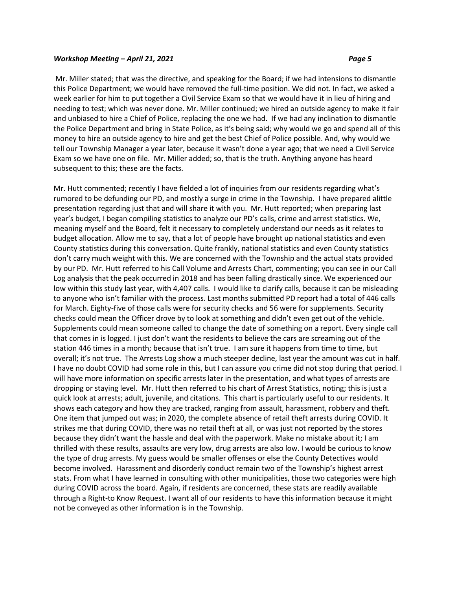Mr. Miller stated; that was the directive, and speaking for the Board; if we had intensions to dismantle this Police Department; we would have removed the full-time position. We did not. In fact, we asked a week earlier for him to put together a Civil Service Exam so that we would have it in lieu of hiring and needing to test; which was never done. Mr. Miller continued; we hired an outside agency to make it fair and unbiased to hire a Chief of Police, replacing the one we had. If we had any inclination to dismantle the Police Department and bring in State Police, as it's being said; why would we go and spend all of this money to hire an outside agency to hire and get the best Chief of Police possible. And, why would we tell our Township Manager a year later, because it wasn't done a year ago; that we need a Civil Service Exam so we have one on file. Mr. Miller added; so, that is the truth. Anything anyone has heard subsequent to this; these are the facts.

Mr. Hutt commented; recently I have fielded a lot of inquiries from our residents regarding what's rumored to be defunding our PD, and mostly a surge in crime in the Township. I have prepared alittle presentation regarding just that and will share it with you. Mr. Hutt reported; when preparing last year's budget, I began compiling statistics to analyze our PD's calls, crime and arrest statistics. We, meaning myself and the Board, felt it necessary to completely understand our needs as it relates to budget allocation. Allow me to say, that a lot of people have brought up national statistics and even County statistics during this conversation. Quite frankly, national statistics and even County statistics don't carry much weight with this. We are concerned with the Township and the actual stats provided by our PD. Mr. Hutt referred to his Call Volume and Arrests Chart, commenting; you can see in our Call Log analysis that the peak occurred in 2018 and has been falling drastically since. We experienced our low within this study last year, with 4,407 calls. I would like to clarify calls, because it can be misleading to anyone who isn't familiar with the process. Last months submitted PD report had a total of 446 calls for March. Eighty-five of those calls were for security checks and 56 were for supplements. Security checks could mean the Officer drove by to look at something and didn't even get out of the vehicle. Supplements could mean someone called to change the date of something on a report. Every single call that comes in is logged. I just don't want the residents to believe the cars are screaming out of the station 446 times in a month; because that isn't true. I am sure it happens from time to time, but overall; it's not true. The Arrests Log show a much steeper decline, last year the amount was cut in half. I have no doubt COVID had some role in this, but I can assure you crime did not stop during that period. I will have more information on specific arrests later in the presentation, and what types of arrests are dropping or staying level. Mr. Hutt then referred to his chart of Arrest Statistics, noting; this is just a quick look at arrests; adult, juvenile, and citations. This chart is particularly useful to our residents. It shows each category and how they are tracked, ranging from assault, harassment, robbery and theft. One item that jumped out was; in 2020, the complete absence of retail theft arrests during COVID. It strikes me that during COVID, there was no retail theft at all, or was just not reported by the stores because they didn't want the hassle and deal with the paperwork. Make no mistake about it; I am thrilled with these results, assaults are very low, drug arrests are also low. I would be curious to know the type of drug arrests. My guess would be smaller offenses or else the County Detectives would become involved. Harassment and disorderly conduct remain two of the Township's highest arrest stats. From what I have learned in consulting with other municipalities, those two categories were high during COVID across the board. Again, if residents are concerned, these stats are readily available through a Right-to Know Request. I want all of our residents to have this information because it might not be conveyed as other information is in the Township.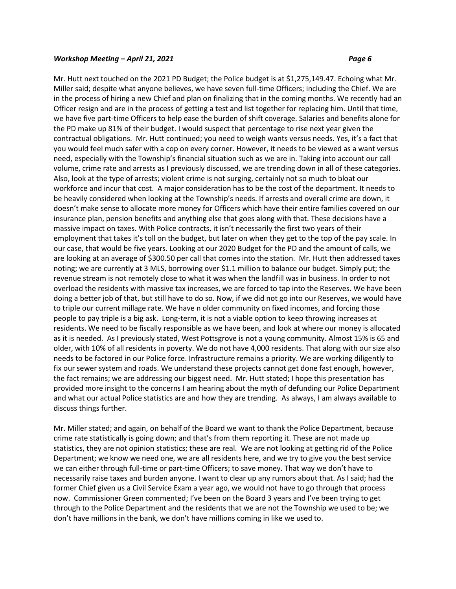Mr. Hutt next touched on the 2021 PD Budget; the Police budget is at \$1,275,149.47. Echoing what Mr. Miller said; despite what anyone believes, we have seven full-time Officers; including the Chief. We are in the process of hiring a new Chief and plan on finalizing that in the coming months. We recently had an Officer resign and are in the process of getting a test and list together for replacing him. Until that time, we have five part-time Officers to help ease the burden of shift coverage. Salaries and benefits alone for the PD make up 81% of their budget. I would suspect that percentage to rise next year given the contractual obligations. Mr. Hutt continued; you need to weigh wants versus needs. Yes, it's a fact that you would feel much safer with a cop on every corner. However, it needs to be viewed as a want versus need, especially with the Township's financial situation such as we are in. Taking into account our call volume, crime rate and arrests as I previously discussed, we are trending down in all of these categories. Also, look at the type of arrests; violent crime is not surging, certainly not so much to bloat our workforce and incur that cost. A major consideration has to be the cost of the department. It needs to be heavily considered when looking at the Township's needs. If arrests and overall crime are down, it doesn't make sense to allocate more money for Officers which have their entire families covered on our insurance plan, pension benefits and anything else that goes along with that. These decisions have a massive impact on taxes. With Police contracts, it isn't necessarily the first two years of their employment that takes it's toll on the budget, but later on when they get to the top of the pay scale. In our case, that would be five years. Looking at our 2020 Budget for the PD and the amount of calls, we are looking at an average of \$300.50 per call that comes into the station. Mr. Hutt then addressed taxes noting; we are currently at 3 MLS, borrowing over \$1.1 million to balance our budget. Simply put; the revenue stream is not remotely close to what it was when the landfill was in business. In order to not overload the residents with massive tax increases, we are forced to tap into the Reserves. We have been doing a better job of that, but still have to do so. Now, if we did not go into our Reserves, we would have to triple our current millage rate. We have n older community on fixed incomes, and forcing those people to pay triple is a big ask. Long-term, it is not a viable option to keep throwing increases at residents. We need to be fiscally responsible as we have been, and look at where our money is allocated as it is needed. As I previously stated, West Pottsgrove is not a young community. Almost 15% is 65 and older, with 10% of all residents in poverty. We do not have 4,000 residents. That along with our size also needs to be factored in our Police force. Infrastructure remains a priority. We are working diligently to fix our sewer system and roads. We understand these projects cannot get done fast enough, however, the fact remains; we are addressing our biggest need. Mr. Hutt stated; I hope this presentation has provided more insight to the concerns I am hearing about the myth of defunding our Police Department and what our actual Police statistics are and how they are trending. As always, I am always available to discuss things further.

Mr. Miller stated; and again, on behalf of the Board we want to thank the Police Department, because crime rate statistically is going down; and that's from them reporting it. These are not made up statistics, they are not opinion statistics; these are real. We are not looking at getting rid of the Police Department; we know we need one, we are all residents here, and we try to give you the best service we can either through full-time or part-time Officers; to save money. That way we don't have to necessarily raise taxes and burden anyone. I want to clear up any rumors about that. As I said; had the former Chief given us a Civil Service Exam a year ago, we would not have to go through that process now. Commissioner Green commented; I've been on the Board 3 years and I've been trying to get through to the Police Department and the residents that we are not the Township we used to be; we don't have millions in the bank, we don't have millions coming in like we used to.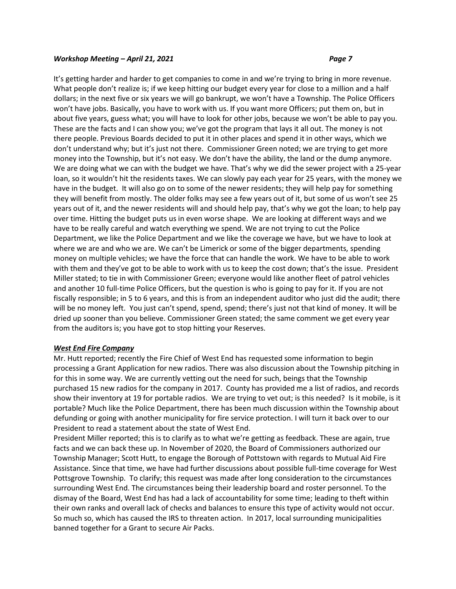It's getting harder and harder to get companies to come in and we're trying to bring in more revenue. What people don't realize is; if we keep hitting our budget every year for close to a million and a half dollars; in the next five or six years we will go bankrupt, we won't have a Township. The Police Officers won't have jobs. Basically, you have to work with us. If you want more Officers; put them on, but in about five years, guess what; you will have to look for other jobs, because we won't be able to pay you. These are the facts and I can show you; we've got the program that lays it all out. The money is not there people. Previous Boards decided to put it in other places and spend it in other ways, which we don't understand why; but it's just not there. Commissioner Green noted; we are trying to get more money into the Township, but it's not easy. We don't have the ability, the land or the dump anymore. We are doing what we can with the budget we have. That's why we did the sewer project with a 25-year loan, so it wouldn't hit the residents taxes. We can slowly pay each year for 25 years, with the money we have in the budget. It will also go on to some of the newer residents; they will help pay for something they will benefit from mostly. The older folks may see a few years out of it, but some of us won't see 25 years out of it, and the newer residents will and should help pay, that's why we got the loan; to help pay over time. Hitting the budget puts us in even worse shape. We are looking at different ways and we have to be really careful and watch everything we spend. We are not trying to cut the Police Department, we like the Police Department and we like the coverage we have, but we have to look at where we are and who we are. We can't be Limerick or some of the bigger departments, spending money on multiple vehicles; we have the force that can handle the work. We have to be able to work with them and they've got to be able to work with us to keep the cost down; that's the issue. President Miller stated; to tie in with Commissioner Green; everyone would like another fleet of patrol vehicles and another 10 full-time Police Officers, but the question is who is going to pay for it. If you are not fiscally responsible; in 5 to 6 years, and this is from an independent auditor who just did the audit; there will be no money left. You just can't spend, spend, spend; there's just not that kind of money. It will be dried up sooner than you believe. Commissioner Green stated; the same comment we get every year from the auditors is; you have got to stop hitting your Reserves.

# *West End Fire Company*

Mr. Hutt reported; recently the Fire Chief of West End has requested some information to begin processing a Grant Application for new radios. There was also discussion about the Township pitching in for this in some way. We are currently vetting out the need for such, beings that the Township purchased 15 new radios for the company in 2017. County has provided me a list of radios, and records show their inventory at 19 for portable radios. We are trying to vet out; is this needed? Is it mobile, is it portable? Much like the Police Department, there has been much discussion within the Township about defunding or going with another municipality for fire service protection. I will turn it back over to our President to read a statement about the state of West End.

President Miller reported; this is to clarify as to what we're getting as feedback. These are again, true facts and we can back these up. In November of 2020, the Board of Commissioners authorized our Township Manager; Scott Hutt, to engage the Borough of Pottstown with regards to Mutual Aid Fire Assistance. Since that time, we have had further discussions about possible full-time coverage for West Pottsgrove Township. To clarify; this request was made after long consideration to the circumstances surrounding West End. The circumstances being their leadership board and roster personnel. To the dismay of the Board, West End has had a lack of accountability for some time; leading to theft within their own ranks and overall lack of checks and balances to ensure this type of activity would not occur. So much so, which has caused the IRS to threaten action. In 2017, local surrounding municipalities banned together for a Grant to secure Air Packs.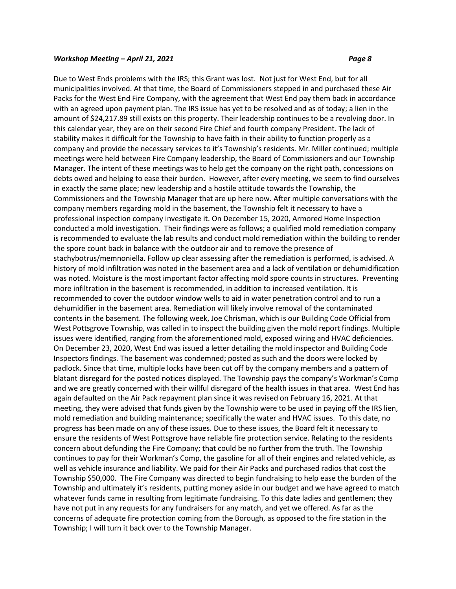Due to West Ends problems with the IRS; this Grant was lost. Not just for West End, but for all municipalities involved. At that time, the Board of Commissioners stepped in and purchased these Air Packs for the West End Fire Company, with the agreement that West End pay them back in accordance with an agreed upon payment plan. The IRS issue has yet to be resolved and as of today; a lien in the amount of \$24,217.89 still exists on this property. Their leadership continues to be a revolving door. In this calendar year, they are on their second Fire Chief and fourth company President. The lack of stability makes it difficult for the Township to have faith in their ability to function properly as a company and provide the necessary services to it's Township's residents. Mr. Miller continued; multiple meetings were held between Fire Company leadership, the Board of Commissioners and our Township Manager. The intent of these meetings was to help get the company on the right path, concessions on debts owed and helping to ease their burden. However, after every meeting, we seem to find ourselves in exactly the same place; new leadership and a hostile attitude towards the Township, the Commissioners and the Township Manager that are up here now. After multiple conversations with the company members regarding mold in the basement, the Township felt it necessary to have a professional inspection company investigate it. On December 15, 2020, Armored Home Inspection conducted a mold investigation. Their findings were as follows; a qualified mold remediation company is recommended to evaluate the lab results and conduct mold remediation within the building to render the spore count back in balance with the outdoor air and to remove the presence of stachybotrus/memnoniella. Follow up clear assessing after the remediation is performed, is advised. A history of mold infiltration was noted in the basement area and a lack of ventilation or dehumidification was noted. Moisture is the most important factor affecting mold spore counts in structures. Preventing more infiltration in the basement is recommended, in addition to increased ventilation. It is recommended to cover the outdoor window wells to aid in water penetration control and to run a dehumidifier in the basement area. Remediation will likely involve removal of the contaminated contents in the basement. The following week, Joe Chrisman, which is our Building Code Official from West Pottsgrove Township, was called in to inspect the building given the mold report findings. Multiple issues were identified, ranging from the aforementioned mold, exposed wiring and HVAC deficiencies. On December 23, 2020, West End was issued a letter detailing the mold inspector and Building Code Inspectors findings. The basement was condemned; posted as such and the doors were locked by padlock. Since that time, multiple locks have been cut off by the company members and a pattern of blatant disregard for the posted notices displayed. The Township pays the company's Workman's Comp and we are greatly concerned with their willful disregard of the health issues in that area. West End has again defaulted on the Air Pack repayment plan since it was revised on February 16, 2021. At that meeting, they were advised that funds given by the Township were to be used in paying off the IRS lien, mold remediation and building maintenance; specifically the water and HVAC issues. To this date, no progress has been made on any of these issues. Due to these issues, the Board felt it necessary to ensure the residents of West Pottsgrove have reliable fire protection service. Relating to the residents concern about defunding the Fire Company; that could be no further from the truth. The Township continues to pay for their Workman's Comp, the gasoline for all of their engines and related vehicle, as well as vehicle insurance and liability. We paid for their Air Packs and purchased radios that cost the Township \$50,000. The Fire Company was directed to begin fundraising to help ease the burden of the Township and ultimately it's residents, putting money aside in our budget and we have agreed to match whatever funds came in resulting from legitimate fundraising. To this date ladies and gentlemen; they have not put in any requests for any fundraisers for any match, and yet we offered. As far as the concerns of adequate fire protection coming from the Borough, as opposed to the fire station in the Township; I will turn it back over to the Township Manager.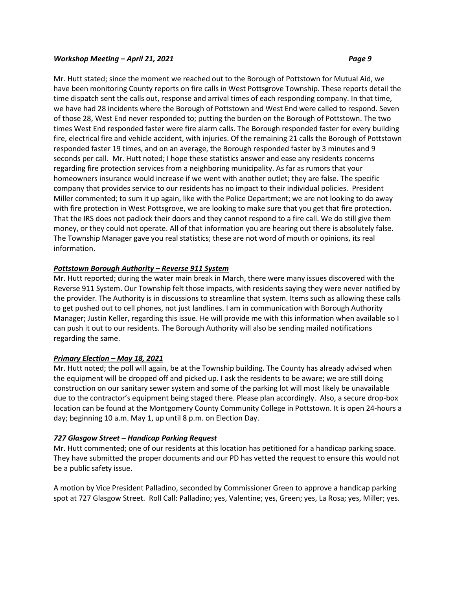Mr. Hutt stated; since the moment we reached out to the Borough of Pottstown for Mutual Aid, we have been monitoring County reports on fire calls in West Pottsgrove Township. These reports detail the time dispatch sent the calls out, response and arrival times of each responding company. In that time, we have had 28 incidents where the Borough of Pottstown and West End were called to respond. Seven of those 28, West End never responded to; putting the burden on the Borough of Pottstown. The two times West End responded faster were fire alarm calls. The Borough responded faster for every building fire, electrical fire and vehicle accident, with injuries. Of the remaining 21 calls the Borough of Pottstown responded faster 19 times, and on an average, the Borough responded faster by 3 minutes and 9 seconds per call. Mr. Hutt noted; I hope these statistics answer and ease any residents concerns regarding fire protection services from a neighboring municipality. As far as rumors that your homeowners insurance would increase if we went with another outlet; they are false. The specific company that provides service to our residents has no impact to their individual policies. President Miller commented; to sum it up again, like with the Police Department; we are not looking to do away with fire protection in West Pottsgrove, we are looking to make sure that you get that fire protection. That the IRS does not padlock their doors and they cannot respond to a fire call. We do still give them money, or they could not operate. All of that information you are hearing out there is absolutely false. The Township Manager gave you real statistics; these are not word of mouth or opinions, its real information.

# *Pottstown Borough Authority – Reverse 911 System*

Mr. Hutt reported; during the water main break in March, there were many issues discovered with the Reverse 911 System. Our Township felt those impacts, with residents saying they were never notified by the provider. The Authority is in discussions to streamline that system. Items such as allowing these calls to get pushed out to cell phones, not just landlines. I am in communication with Borough Authority Manager; Justin Keller, regarding this issue. He will provide me with this information when available so I can push it out to our residents. The Borough Authority will also be sending mailed notifications regarding the same.

# *Primary Election – May 18, 2021*

Mr. Hutt noted; the poll will again, be at the Township building. The County has already advised when the equipment will be dropped off and picked up. I ask the residents to be aware; we are still doing construction on our sanitary sewer system and some of the parking lot will most likely be unavailable due to the contractor's equipment being staged there. Please plan accordingly. Also, a secure drop-box location can be found at the Montgomery County Community College in Pottstown. It is open 24-hours a day; beginning 10 a.m. May 1, up until 8 p.m. on Election Day.

# *727 Glasgow Street – Handicap Parking Request*

Mr. Hutt commented; one of our residents at this location has petitioned for a handicap parking space. They have submitted the proper documents and our PD has vetted the request to ensure this would not be a public safety issue.

A motion by Vice President Palladino, seconded by Commissioner Green to approve a handicap parking spot at 727 Glasgow Street. Roll Call: Palladino; yes, Valentine; yes, Green; yes, La Rosa; yes, Miller; yes.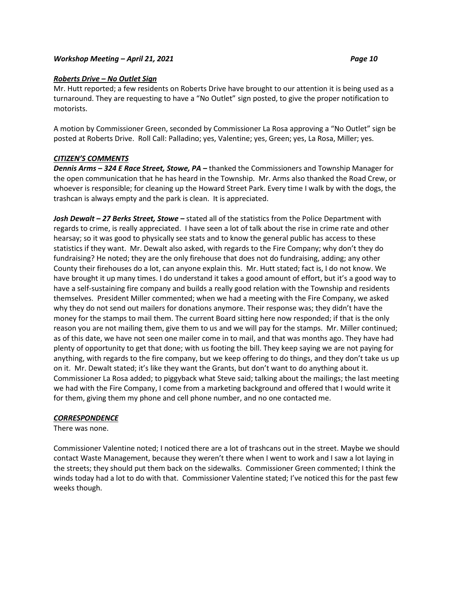# *Roberts Drive – No Outlet Sign*

Mr. Hutt reported; a few residents on Roberts Drive have brought to our attention it is being used as a turnaround. They are requesting to have a "No Outlet" sign posted, to give the proper notification to motorists.

A motion by Commissioner Green, seconded by Commissioner La Rosa approving a "No Outlet" sign be posted at Roberts Drive. Roll Call: Palladino; yes, Valentine; yes, Green; yes, La Rosa, Miller; yes.

## *CITIZEN'S COMMENTS*

*Dennis Arms – 324 E Race Street, Stowe, PA –* thanked the Commissioners and Township Manager for the open communication that he has heard in the Township. Mr. Arms also thanked the Road Crew, or whoever is responsible; for cleaning up the Howard Street Park. Every time I walk by with the dogs, the trashcan is always empty and the park is clean. It is appreciated.

*Josh Dewalt – 27 Berks Street, Stowe –* stated all of the statistics from the Police Department with regards to crime, is really appreciated. I have seen a lot of talk about the rise in crime rate and other hearsay; so it was good to physically see stats and to know the general public has access to these statistics if they want. Mr. Dewalt also asked, with regards to the Fire Company; why don't they do fundraising? He noted; they are the only firehouse that does not do fundraising, adding; any other County their firehouses do a lot, can anyone explain this. Mr. Hutt stated; fact is, I do not know. We have brought it up many times. I do understand it takes a good amount of effort, but it's a good way to have a self-sustaining fire company and builds a really good relation with the Township and residents themselves. President Miller commented; when we had a meeting with the Fire Company, we asked why they do not send out mailers for donations anymore. Their response was; they didn't have the money for the stamps to mail them. The current Board sitting here now responded; if that is the only reason you are not mailing them, give them to us and we will pay for the stamps. Mr. Miller continued; as of this date, we have not seen one mailer come in to mail, and that was months ago. They have had plenty of opportunity to get that done; with us footing the bill. They keep saying we are not paying for anything, with regards to the fire company, but we keep offering to do things, and they don't take us up on it. Mr. Dewalt stated; it's like they want the Grants, but don't want to do anything about it. Commissioner La Rosa added; to piggyback what Steve said; talking about the mailings; the last meeting we had with the Fire Company, I come from a marketing background and offered that I would write it for them, giving them my phone and cell phone number, and no one contacted me.

#### *CORRESPONDENCE*

There was none.

Commissioner Valentine noted; I noticed there are a lot of trashcans out in the street. Maybe we should contact Waste Management, because they weren't there when I went to work and I saw a lot laying in the streets; they should put them back on the sidewalks. Commissioner Green commented; I think the winds today had a lot to do with that. Commissioner Valentine stated; I've noticed this for the past few weeks though.